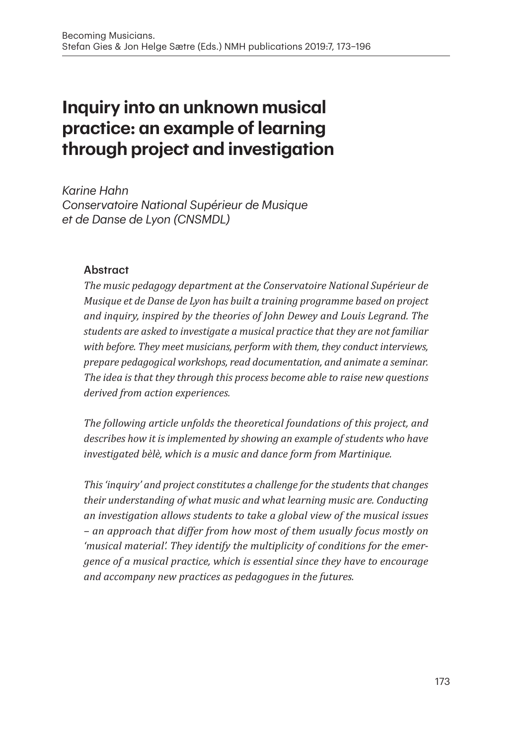# **Inquiry into an unknown musical practice: an example of learning through project and investigation**

*Karine Hahn Conservatoire National Supérieur de Musique et de Danse de Lyon (CNSMDL)*

#### **Abstract**

*The music pedagogy department at the Conservatoire National Supérieur de Musique et de Danse de Lyon has built a training programme based on project and inquiry, inspired by the theories of John Dewey and Louis Legrand. The students are asked to investigate a musical practice that they are not familiar with before. They meet musicians, perform with them, they conduct interviews, prepare pedagogical workshops, read documentation, and animate a seminar. The idea is that they through this process become able to raise new questions derived from action experiences.*

*The following article unfolds the theoretical foundations of this project, and describes how it is implemented by showing an example of students who have investigated bèlè, which is a music and dance form from Martinique.* 

*This 'inquiry' and project constitutes a challenge for the students that changes their understanding of what music and what learning music are. Conducting an investigation allows students to take a global view of the musical issues – an approach that differ from how most of them usually focus mostly on 'musical material'. They identify the multiplicity of conditions for the emergence of a musical practice, which is essential since they have to encourage and accompany new practices as pedagogues in the futures.*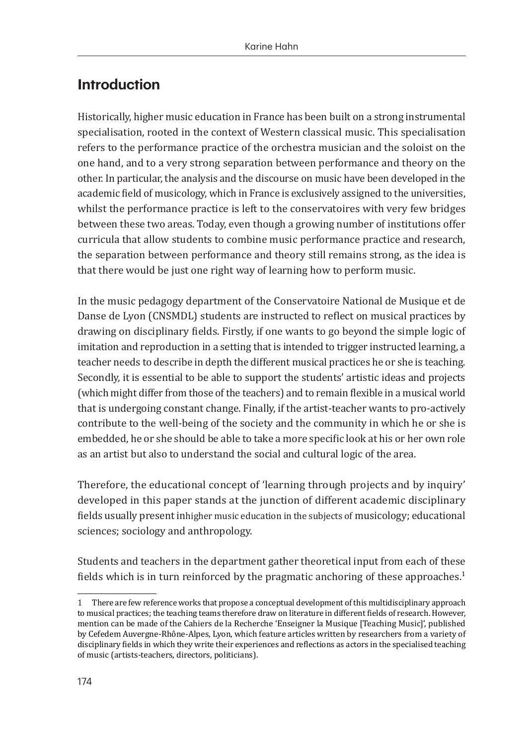# **Introduction**

Historically, higher music education in France has been built on a strong instrumental specialisation, rooted in the context of Western classical music. This specialisation refers to the performance practice of the orchestra musician and the soloist on the one hand, and to a very strong separation between performance and theory on the other. In particular, the analysis and the discourse on music have been developed in the academic field of musicology, which in France is exclusively assigned to the universities, whilst the performance practice is left to the conservatoires with very few bridges between these two areas. Today, even though a growing number of institutions offer curricula that allow students to combine music performance practice and research, the separation between performance and theory still remains strong, as the idea is that there would be just one right way of learning how to perform music.

In the music pedagogy department of the Conservatoire National de Musique et de Danse de Lyon (CNSMDL) students are instructed to reflect on musical practices by drawing on disciplinary fields. Firstly, if one wants to go beyond the simple logic of imitation and reproduction in a setting that is intended to trigger instructed learning, a teacher needs to describe in depth the different musical practices he or she is teaching. Secondly, it is essential to be able to support the students' artistic ideas and projects (which might differ from those of the teachers) and to remain flexible in a musical world that is undergoing constant change. Finally, if the artist-teacher wants to pro-actively contribute to the well-being of the society and the community in which he or she is embedded, he or she should be able to take a more specific look at his or her own role as an artist but also to understand the social and cultural logic of the area.

Therefore, the educational concept of 'learning through projects and by inquiry' developed in this paper stands at the junction of different academic disciplinary fields usually present inhigher music education in the subjects of musicology; educational sciences; sociology and anthropology.

Students and teachers in the department gather theoretical input from each of these fields which is in turn reinforced by the pragmatic anchoring of these approaches.<sup>1</sup>

<sup>1</sup>  There are few reference works that propose a conceptual development of this multidisciplinary approach to musical practices; the teaching teams therefore draw on literature in different fields of research. However, mention can be made of the Cahiers de la Recherche 'Enseigner la Musique [Teaching Music]', published by Cefedem Auvergne-Rhône-Alpes, Lyon, which feature articles written by researchers from a variety of disciplinary fields in which they write their experiences and reflections as actors in the specialised teaching of music (artists-teachers, directors, politicians).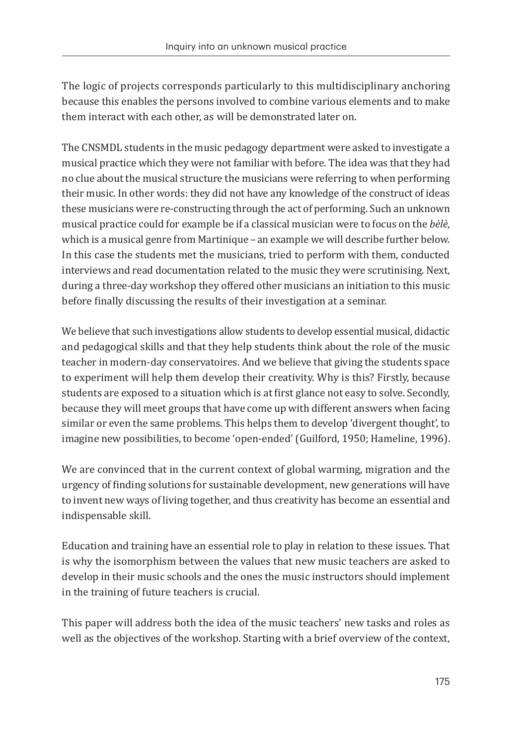The logic of projects corresponds particularly to this multidisciplinary anchoring because this enables the persons involved to combine various elements and to make them interact with each other, as will be demonstrated later on.

The CNSMDL students in the music pedagogy department were asked to investigate a musical practice which they were not familiar with before. The idea was that they had no clue about the musical structure the musicians were referring to when performing their music. In other words: they did not have any knowledge of the construct of ideas these musicians were re-constructing through the act of performing. Such an unknown musical practice could for example be if a classical musician were to focus on the *bèlè*, which is a musical genre from Martinique - an example we will describe further below. In this case the students met the musicians, tried to perform with them, conducted interviews and read documentation related to the music they were scrutinising. Next, during a three-day workshop they offered other musicians an initiation to this music before finally discussing the results of their investigation at a seminar.

We believe that such investigations allow students to develop essential musical, didactic and pedagogical skills and that they help students think about the role of the music teacher in modern-day conservatoires. And we believe that giving the students space to experiment will help them develop their creativity. Why is this? Firstly, because students are exposed to a situation which is at first glance not easy to solve. Secondly, because they will meet groups that have come up with different answers when facing similar or even the same problems. This helps them to develop 'divergent thought', to imagine new possibilities, to become 'open-ended' (Guilford, 1950; Hameline, 1996).

We are convinced that in the current context of global warming, migration and the urgency of finding solutions for sustainable development, new generations will have to invent new ways of living together, and thus creativity has become an essential and indispensable skill.

Education and training have an essential role to play in relation to these issues. That is why the isomorphism between the values that new music teachers are asked to develop in their music schools and the ones the music instructors should implement in the training of future teachers is crucial.

This paper will address both the idea of the music teachers' new tasks and roles as well as the objectives of the workshop. Starting with a brief overview of the context,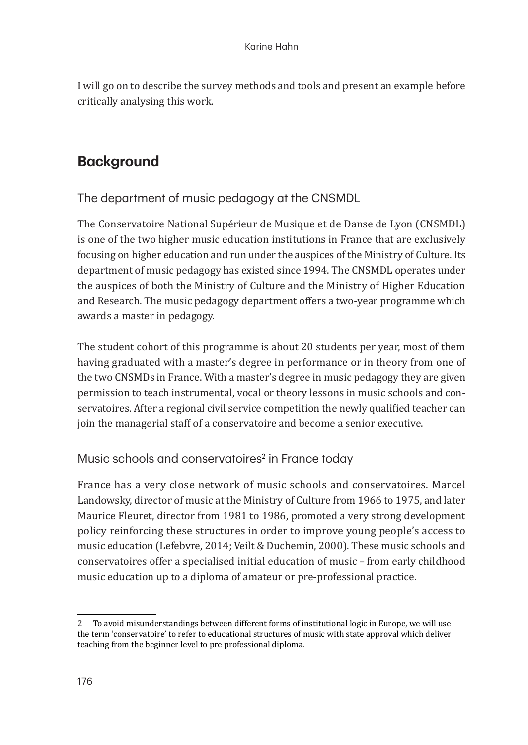I will go on to describe the survey methods and tools and present an example before critically analysing this work.

# **Background**

The department of music pedagogy at the CNSMDL

The Conservatoire National Supérieur de Musique et de Danse de Lyon (CNSMDL) is one of the two higher music education institutions in France that are exclusively focusing on higher education and run under the auspices of the Ministry of Culture. Its department of music pedagogy has existed since 1994. The CNSMDL operates under the auspices of both the Ministry of Culture and the Ministry of Higher Education and Research. The music pedagogy department offers a two-year programme which awards a master in pedagogy.

The student cohort of this programme is about 20 students per year, most of them having graduated with a master's degree in performance or in theory from one of the two CNSMDs in France. With a master's degree in music pedagogy they are given permission to teach instrumental, vocal or theory lessons in music schools and conservatoires. After a regional civil service competition the newly qualified teacher can join the managerial staff of a conservatoire and become a senior executive.

Music schools and conservatoires<sup>2</sup> in France today

France has a very close network of music schools and conservatoires. Marcel Landowsky, director of music at the Ministry of Culture from 1966 to 1975, and later Maurice Fleuret, director from 1981 to 1986, promoted a very strong development policy reinforcing these structures in order to improve young people's access to music education (Lefebvre, 2014; Veilt & Duchemin, 2000). These music schools and conservatoires offer a specialised initial education of music – from early childhood music education up to a diploma of amateur or pre-professional practice.

<sup>2</sup>  To avoid misunderstandings between different forms of institutional logic in Europe, we will use the term 'conservatoire' to refer to educational structures of music with state approval which deliver teaching from the beginner level to pre professional diploma.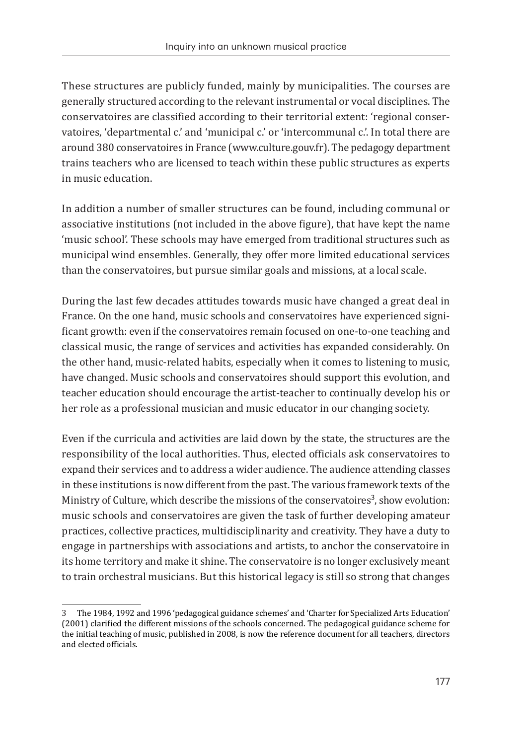These structures are publicly funded, mainly by municipalities. The courses are generally structured according to the relevant instrumental or vocal disciplines. The conservatoires are classified according to their territorial extent: 'regional conservatoires, 'departmental c.' and 'municipal c.' or 'intercommunal c.'. In total there are around 380 conservatoires in France (www.culture.gouv.fr). The pedagogy department trains teachers who are licensed to teach within these public structures as experts in music education.

In addition a number of smaller structures can be found, including communal or associative institutions (not included in the above figure), that have kept the name 'music school'. These schools may have emerged from traditional structures such as municipal wind ensembles. Generally, they offer more limited educational services than the conservatoires, but pursue similar goals and missions, at a local scale.

During the last few decades attitudes towards music have changed a great deal in France. On the one hand, music schools and conservatoires have experienced significant growth: even if the conservatoires remain focused on one-to-one teaching and classical music, the range of services and activities has expanded considerably. On the other hand, music-related habits, especially when it comes to listening to music, have changed. Music schools and conservatoires should support this evolution, and teacher education should encourage the artist-teacher to continually develop his or her role as a professional musician and music educator in our changing society.

Even if the curricula and activities are laid down by the state, the structures are the responsibility of the local authorities. Thus, elected officials ask conservatoires to expand their services and to address a wider audience. The audience attending classes in these institutions is now different from the past. The various framework texts of the Ministry of Culture, which describe the missions of the conservatoires<sup>3</sup>, show evolution: music schools and conservatoires are given the task of further developing amateur practices, collective practices, multidisciplinarity and creativity. They have a duty to engage in partnerships with associations and artists, to anchor the conservatoire in its home territory and make it shine. The conservatoire is no longer exclusively meant to train orchestral musicians. But this historical legacy is still so strong that changes

<sup>3</sup> The 1984, 1992 and 1996 'pedagogical guidance schemes' and 'Charter for Specialized Arts Education' (2001) clarified the different missions of the schools concerned. The pedagogical guidance scheme for the initial teaching of music, published in 2008, is now the reference document for all teachers, directors and elected officials.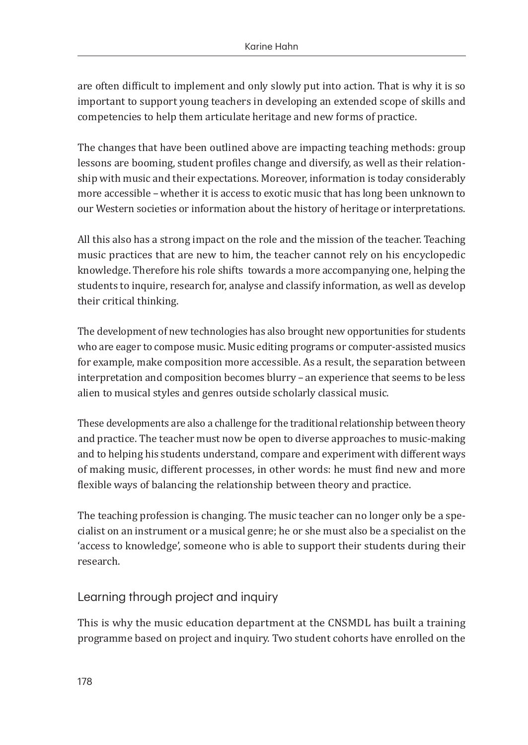are often difficult to implement and only slowly put into action. That is why it is so important to support young teachers in developing an extended scope of skills and competencies to help them articulate heritage and new forms of practice.

The changes that have been outlined above are impacting teaching methods: group lessons are booming, student profiles change and diversify, as well as their relationship with music and their expectations. Moreover, information is today considerably more accessible – whether it is access to exotic music that has long been unknown to our Western societies or information about the history of heritage or interpretations.

All this also has a strong impact on the role and the mission of the teacher. Teaching music practices that are new to him, the teacher cannot rely on his encyclopedic knowledge. Therefore his role shifts towards a more accompanying one, helping the students to inquire, research for, analyse and classify information, as well as develop their critical thinking.

The development of new technologies has also brought new opportunities for students who are eager to compose music. Music editing programs or computer-assisted musics for example, make composition more accessible. As a result, the separation between interpretation and composition becomes blurry – an experience that seems to be less alien to musical styles and genres outside scholarly classical music.

These developments are also a challenge for the traditional relationship between theory and practice. The teacher must now be open to diverse approaches to music-making and to helping his students understand, compare and experiment with different ways of making music, different processes, in other words: he must find new and more flexible ways of balancing the relationship between theory and practice.

The teaching profession is changing. The music teacher can no longer only be a specialist on an instrument or a musical genre; he or she must also be a specialist on the 'access to knowledge', someone who is able to support their students during their research.

### Learning through project and inquiry

This is why the music education department at the CNSMDL has built a training programme based on project and inquiry. Two student cohorts have enrolled on the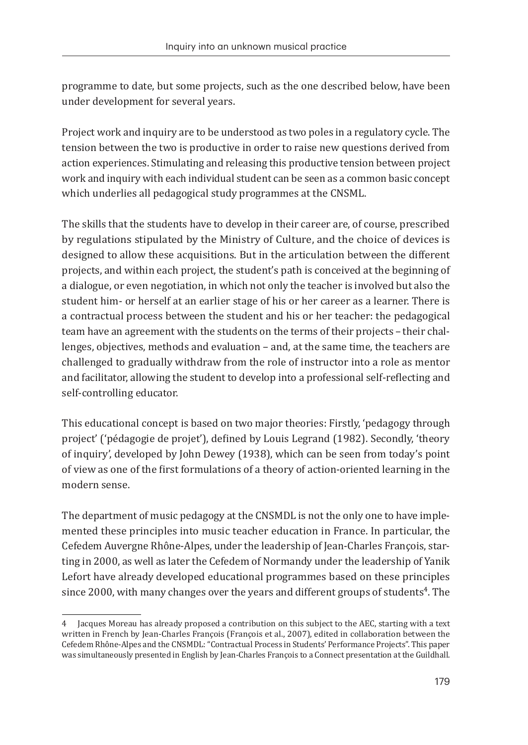programme to date, but some projects, such as the one described below, have been under development for several years.

Project work and inquiry are to be understood as two poles in a regulatory cycle. The tension between the two is productive in order to raise new questions derived from action experiences. Stimulating and releasing this productive tension between project work and inquiry with each individual student can be seen as a common basic concept which underlies all pedagogical study programmes at the CNSML.

The skills that the students have to develop in their career are, of course, prescribed by regulations stipulated by the Ministry of Culture, and the choice of devices is designed to allow these acquisitions. But in the articulation between the different projects, and within each project, the student's path is conceived at the beginning of a dialogue, or even negotiation, in which not only the teacher is involved but also the student him- or herself at an earlier stage of his or her career as a learner. There is a contractual process between the student and his or her teacher: the pedagogical team have an agreement with the students on the terms of their projects – their challenges, objectives, methods and evaluation – and, at the same time, the teachers are challenged to gradually withdraw from the role of instructor into a role as mentor and facilitator, allowing the student to develop into a professional self-reflecting and self-controlling educator.

This educational concept is based on two major theories: Firstly, 'pedagogy through project' ('pédagogie de projet'), defined by Louis Legrand (1982). Secondly, 'theory of inquiry', developed by John Dewey (1938), which can be seen from today's point of view as one of the first formulations of a theory of action-oriented learning in the modern sense.

The department of music pedagogy at the CNSMDL is not the only one to have implemented these principles into music teacher education in France. In particular, the Cefedem Auvergne Rhône-Alpes, under the leadership of Jean-Charles François, starting in 2000, as well as later the Cefedem of Normandy under the leadership of Yanik Lefort have already developed educational programmes based on these principles since 2000, with many changes over the years and different groups of students<sup>4</sup>. The

<sup>4</sup> Jacques Moreau has already proposed a contribution on this subject to the AEC, starting with a text written in French by Jean-Charles François (François et al., 2007), edited in collaboration between the Cefedem Rhône-Alpes and the CNSMDL: "Contractual Process in Students' Performance Projects". This paper was simultaneously presented in English by Jean-Charles François to a Connect presentation at the Guildhall.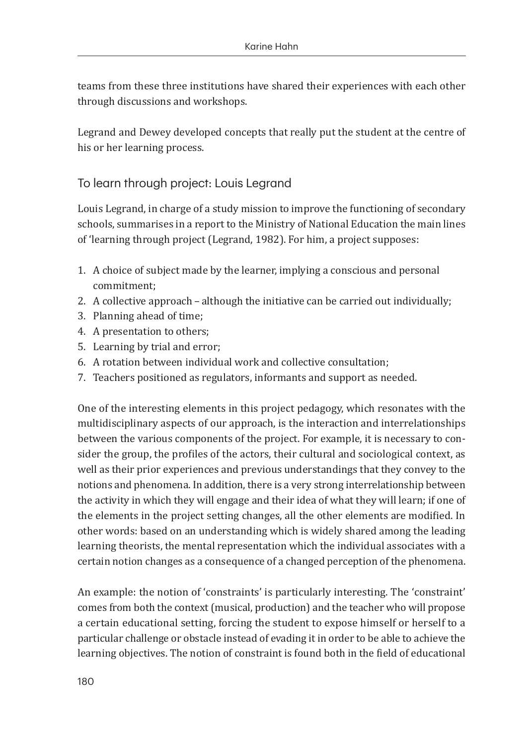teams from these three institutions have shared their experiences with each other through discussions and workshops.

Legrand and Dewey developed concepts that really put the student at the centre of his or her learning process.

### To learn through project: Louis Legrand

Louis Legrand, in charge of a study mission to improve the functioning of secondary schools, summarises in a report to the Ministry of National Education the main lines of 'learning through project (Legrand, 1982). For him, a project supposes:

- 1. A choice of subject made by the learner, implying a conscious and personal commitment;
- 2. A collective approach – although the initiative can be carried out individually;
- 3. Planning ahead of time;
- 4. A presentation to others;
- 5. Learning by trial and error;
- 6. A rotation between individual work and collective consultation;
- 7. Teachers positioned as regulators, informants and support as needed.

One of the interesting elements in this project pedagogy, which resonates with the multidisciplinary aspects of our approach, is the interaction and interrelationships between the various components of the project. For example, it is necessary to consider the group, the profiles of the actors, their cultural and sociological context, as well as their prior experiences and previous understandings that they convey to the notions and phenomena. In addition, there is a very strong interrelationship between the activity in which they will engage and their idea of what they will learn; if one of the elements in the project setting changes, all the other elements are modified. In other words: based on an understanding which is widely shared among the leading learning theorists, the mental representation which the individual associates with a certain notion changes as a consequence of a changed perception of the phenomena.

An example: the notion of 'constraints' is particularly interesting. The 'constraint' comes from both the context (musical, production) and the teacher who will propose a certain educational setting, forcing the student to expose himself or herself to a particular challenge or obstacle instead of evading it in order to be able to achieve the learning objectives. The notion of constraint is found both in the field of educational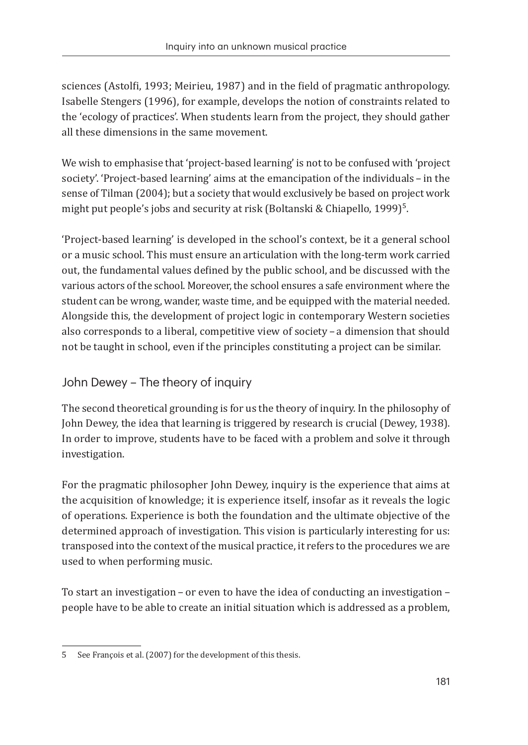sciences (Astolfi, 1993; Meirieu, 1987) and in the field of pragmatic anthropology. Isabelle Stengers (1996), for example, develops the notion of constraints related to the 'ecology of practices'. When students learn from the project, they should gather all these dimensions in the same movement.

We wish to emphasise that 'project-based learning' is not to be confused with 'project society'. 'Project-based learning' aims at the emancipation of the individuals – in the sense of Tilman (2004); but a society that would exclusively be based on project work might put people's jobs and security at risk (Boltanski & Chiapello, 1999) $^{\rm s}$ .

'Project-based learning' is developed in the school's context, be it a general school or a music school. This must ensure an articulation with the long-term work carried out, the fundamental values defined by the public school, and be discussed with the various actors of the school. Moreover, the school ensures a safe environment where the student can be wrong, wander, waste time, and be equipped with the material needed. Alongside this, the development of project logic in contemporary Western societies also corresponds to a liberal, competitive view of society – a dimension that should not be taught in school, even if the principles constituting a project can be similar.

# John Dewey – The theory of inquiry

The second theoretical grounding is for us the theory of inquiry. In the philosophy of John Dewey, the idea that learning is triggered by research is crucial (Dewey, 1938). In order to improve, students have to be faced with a problem and solve it through investigation.

For the pragmatic philosopher John Dewey, inquiry is the experience that aims at the acquisition of knowledge; it is experience itself, insofar as it reveals the logic of operations. Experience is both the foundation and the ultimate objective of the determined approach of investigation. This vision is particularly interesting for us: transposed into the context of the musical practice, it refers to the procedures we are used to when performing music.

To start an investigation – or even to have the idea of conducting an investigation – people have to be able to create an initial situation which is addressed as a problem,

<sup>5</sup>  See François et al. (2007) for the development of this thesis.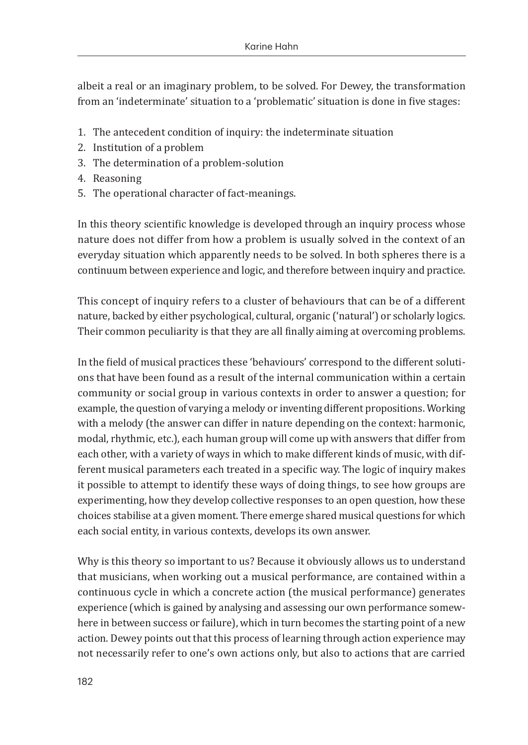albeit a real or an imaginary problem, to be solved. For Dewey, the transformation from an 'indeterminate' situation to a 'problematic' situation is done in five stages:

- 1. The antecedent condition of inquiry: the indeterminate situation
- 2. Institution of a problem
- 3. The determination of a problem-solution
- 4. Reasoning
- 5. The operational character of fact-meanings.

In this theory scientific knowledge is developed through an inquiry process whose nature does not differ from how a problem is usually solved in the context of an everyday situation which apparently needs to be solved. In both spheres there is a continuum between experience and logic, and therefore between inquiry and practice.

This concept of inquiry refers to a cluster of behaviours that can be of a different nature, backed by either psychological, cultural, organic ('natural') or scholarly logics. Their common peculiarity is that they are all finally aiming at overcoming problems.

In the field of musical practices these 'behaviours' correspond to the different solutions that have been found as a result of the internal communication within a certain community or social group in various contexts in order to answer a question; for example, the question of varying a melody or inventing different propositions. Working with a melody (the answer can differ in nature depending on the context: harmonic, modal, rhythmic, etc.), each human group will come up with answers that differ from each other, with a variety of ways in which to make different kinds of music, with different musical parameters each treated in a specific way. The logic of inquiry makes it possible to attempt to identify these ways of doing things, to see how groups are experimenting, how they develop collective responses to an open question, how these choices stabilise at a given moment. There emerge shared musical questions for which each social entity, in various contexts, develops its own answer.

Why is this theory so important to us? Because it obviously allows us to understand that musicians, when working out a musical performance, are contained within a continuous cycle in which a concrete action (the musical performance) generates experience (which is gained by analysing and assessing our own performance somewhere in between success or failure), which in turn becomes the starting point of a new action. Dewey points out that this process of learning through action experience may not necessarily refer to one's own actions only, but also to actions that are carried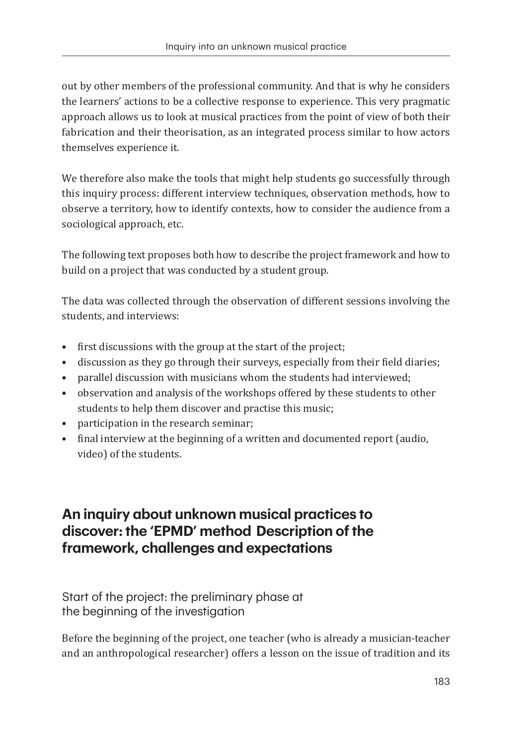out by other members of the professional community. And that is why he considers the learners' actions to be a collective response to experience. This very pragmatic approach allows us to look at musical practices from the point of view of both their fabrication and their theorisation, as an integrated process similar to how actors themselves experience it.

We therefore also make the tools that might help students go successfully through this inquiry process: different interview techniques, observation methods, how to observe a territory, how to identify contexts, how to consider the audience from a sociological approach, etc.

The following text proposes both how to describe the project framework and how to build on a project that was conducted by a student group.

The data was collected through the observation of different sessions involving the students, and interviews:

- first discussions with the group at the start of the project;
- discussion as they go through their surveys, especially from their field diaries;
- parallel discussion with musicians whom the students had interviewed;
- observation and analysis of the workshops offered by these students to other students to help them discover and practise this music;
- participation in the research seminar;
- final interview at the beginning of a written and documented report (audio, video) of the students.

# **An inquiry about unknown musical practices to discover: the 'EPMD' method Description of the framework, challenges and expectations**

Start of the project: the preliminary phase at the beginning of the investigation

Before the beginning of the project, one teacher (who is already a musician-teacher and an anthropological researcher) offers a lesson on the issue of tradition and its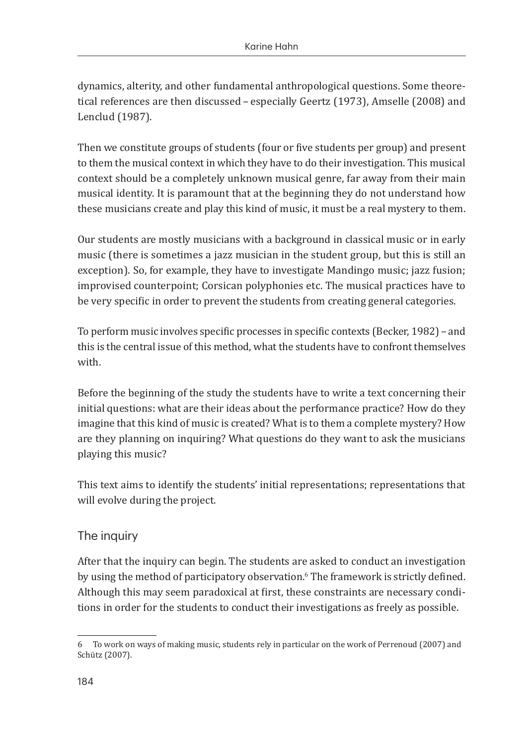dynamics, alterity, and other fundamental anthropological questions. Some theoretical references are then discussed – especially Geertz (1973), Amselle (2008) and Lenclud (1987).

Then we constitute groups of students (four or five students per group) and present to them the musical context in which they have to do their investigation. This musical context should be a completely unknown musical genre, far away from their main musical identity. It is paramount that at the beginning they do not understand how these musicians create and play this kind of music, it must be a real mystery to them.

Our students are mostly musicians with a background in classical music or in early music (there is sometimes a jazz musician in the student group, but this is still an exception). So, for example, they have to investigate Mandingo music; jazz fusion; improvised counterpoint; Corsican polyphonies etc. The musical practices have to be very specific in order to prevent the students from creating general categories.

To perform music involves specific processes in specific contexts (Becker, 1982) – and this is the central issue of this method, what the students have to confront themselves with.

Before the beginning of the study the students have to write a text concerning their initial questions: what are their ideas about the performance practice? How do they imagine that this kind of music is created? What is to them a complete mystery? How are they planning on inquiring? What questions do they want to ask the musicians playing this music?

This text aims to identify the students' initial representations; representations that will evolve during the project.

### The inquiry

After that the inquiry can begin. The students are asked to conduct an investigation by using the method of participatory observation.<sup>6</sup> The framework is strictly defined. Although this may seem paradoxical at first, these constraints are necessary conditions in order for the students to conduct their investigations as freely as possible.

<sup>6</sup>  To work on ways of making music, students rely in particular on the work of Perrenoud (2007) and Schütz (2007).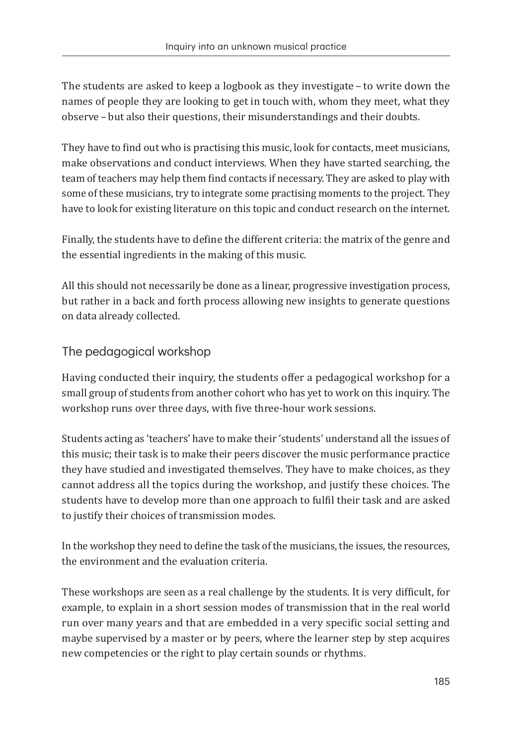The students are asked to keep a logbook as they investigate – to write down the names of people they are looking to get in touch with, whom they meet, what they observe – but also their questions, their misunderstandings and their doubts.

They have to find out who is practising this music, look for contacts, meet musicians, make observations and conduct interviews. When they have started searching, the team of teachers may help them find contacts if necessary. They are asked to play with some of these musicians, try to integrate some practising moments to the project. They have to look for existing literature on this topic and conduct research on the internet.

Finally, the students have to define the different criteria: the matrix of the genre and the essential ingredients in the making of this music.

All this should not necessarily be done as a linear, progressive investigation process, but rather in a back and forth process allowing new insights to generate questions on data already collected.

# The pedagogical workshop

Having conducted their inquiry, the students offer a pedagogical workshop for a small group of students from another cohort who has yet to work on this inquiry. The workshop runs over three days, with five three-hour work sessions.

Students acting as 'teachers' have to make their 'students' understand all the issues of this music; their task is to make their peers discover the music performance practice they have studied and investigated themselves. They have to make choices, as they cannot address all the topics during the workshop, and justify these choices. The students have to develop more than one approach to fulfil their task and are asked to justify their choices of transmission modes.

In the workshop they need to define the task of the musicians, the issues, the resources, the environment and the evaluation criteria.

These workshops are seen as a real challenge by the students. It is very difficult, for example, to explain in a short session modes of transmission that in the real world run over many years and that are embedded in a very specific social setting and maybe supervised by a master or by peers, where the learner step by step acquires new competencies or the right to play certain sounds or rhythms.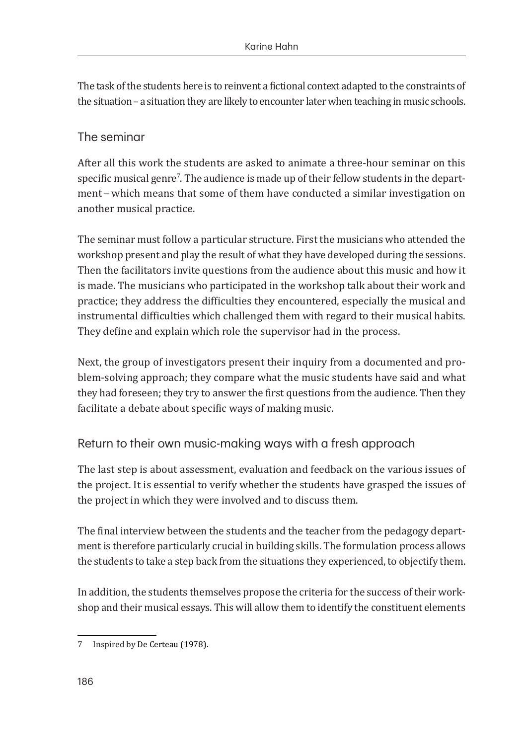The task of the students here is to reinvent a fictional context adapted to the constraints of the situation – a situation they are likely to encounter later when teaching in music schools.

#### The seminar

After all this work the students are asked to animate a three-hour seminar on this  ${\rm specific}$  musical genre'. The audience is made up of their fellow students in the department – which means that some of them have conducted a similar investigation on another musical practice.

The seminar must follow a particular structure. First the musicians who attended the workshop present and play the result of what they have developed during the sessions. Then the facilitators invite questions from the audience about this music and how it is made. The musicians who participated in the workshop talk about their work and practice; they address the difficulties they encountered, especially the musical and instrumental difficulties which challenged them with regard to their musical habits. They define and explain which role the supervisor had in the process.

Next, the group of investigators present their inquiry from a documented and problem-solving approach; they compare what the music students have said and what they had foreseen; they try to answer the first questions from the audience. Then they facilitate a debate about specific ways of making music.

### Return to their own music-making ways with a fresh approach

The last step is about assessment, evaluation and feedback on the various issues of the project. It is essential to verify whether the students have grasped the issues of the project in which they were involved and to discuss them.

The final interview between the students and the teacher from the pedagogy department is therefore particularly crucial in building skills. The formulation process allows the students to take a step back from the situations they experienced, to objectify them.

In addition, the students themselves propose the criteria for the success of their workshop and their musical essays. This will allow them to identify the constituent elements

<sup>7</sup>  Inspired by De Certeau (1978).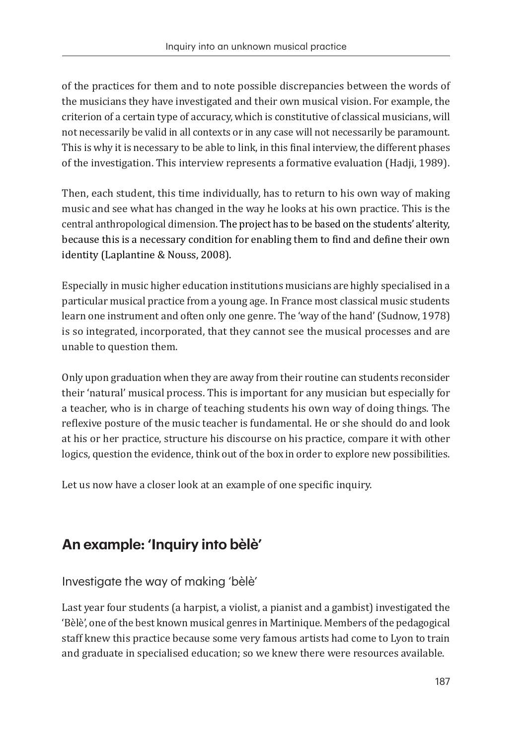of the practices for them and to note possible discrepancies between the words of the musicians they have investigated and their own musical vision. For example, the criterion of a certain type of accuracy, which is constitutive of classical musicians, will not necessarily be valid in all contexts or in any case will not necessarily be paramount. This is why it is necessary to be able to link, in this final interview, the different phases of the investigation. This interview represents a formative evaluation (Hadji, 1989).

Then, each student, this time individually, has to return to his own way of making music and see what has changed in the way he looks at his own practice. This is the central anthropological dimension. The project has to be based on the students' alterity, because this is a necessary condition for enabling them to find and define their own identity (Laplantine & Nouss, 2008).

Especially in music higher education institutions musicians are highly specialised in a particular musical practice from a young age. In France most classical music students learn one instrument and often only one genre. The 'way of the hand' (Sudnow, 1978) is so integrated, incorporated, that they cannot see the musical processes and are unable to question them.

Only upon graduation when they are away from their routine can students reconsider their 'natural' musical process. This is important for any musician but especially for a teacher, who is in charge of teaching students his own way of doing things. The reflexive posture of the music teacher is fundamental. He or she should do and look at his or her practice, structure his discourse on his practice, compare it with other logics, question the evidence, think out of the box in order to explore new possibilities.

Let us now have a closer look at an example of one specific inquiry.

# **An example: 'Inquiry into bèlè'**

Investigate the way of making 'bèlè'

Last year four students (a harpist, a violist, a pianist and a gambist) investigated the 'Bèlè', one of the best known musical genres in Martinique. Members of the pedagogical staff knew this practice because some very famous artists had come to Lyon to train and graduate in specialised education; so we knew there were resources available.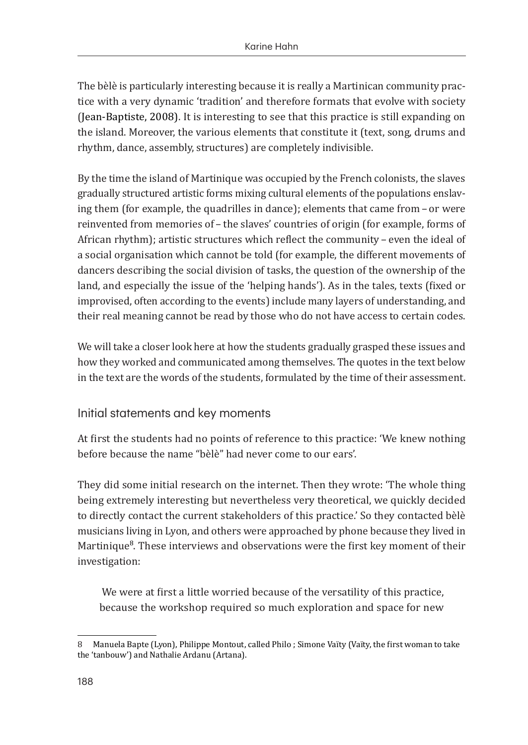The bèlè is particularly interesting because it is really a Martinican community practice with a very dynamic 'tradition' and therefore formats that evolve with society (Jean-Baptiste, 2008). It is interesting to see that this practice is still expanding on the island. Moreover, the various elements that constitute it (text, song, drums and rhythm, dance, assembly, structures) are completely indivisible.

By the time the island of Martinique was occupied by the French colonists, the slaves gradually structured artistic forms mixing cultural elements of the populations enslaving them (for example, the quadrilles in dance); elements that came from – or were reinvented from memories of – the slaves' countries of origin (for example, forms of African rhythm); artistic structures which reflect the community – even the ideal of a social organisation which cannot be told (for example, the different movements of dancers describing the social division of tasks, the question of the ownership of the land, and especially the issue of the 'helping hands'). As in the tales, texts (fixed or improvised, often according to the events) include many layers of understanding, and their real meaning cannot be read by those who do not have access to certain codes.

We will take a closer look here at how the students gradually grasped these issues and how they worked and communicated among themselves. The quotes in the text below in the text are the words of the students, formulated by the time of their assessment.

### Initial statements and key moments

At first the students had no points of reference to this practice: 'We knew nothing before because the name "bèlè" had never come to our ears'.

They did some initial research on the internet. Then they wrote: 'The whole thing being extremely interesting but nevertheless very theoretical, we quickly decided to directly contact the current stakeholders of this practice.' So they contacted bèlè musicians living in Lyon, and others were approached by phone because they lived in Martinique<sup>8</sup>. These interviews and observations were the first key moment of their investigation:

 We were at first a little worried because of the versatility of this practice, because the workshop required so much exploration and space for new

<sup>8</sup> Manuela Bapte (Lyon), Philippe Montout, called Philo ; Simone Vaïty (Vaïty, the first woman to take the 'tanbouw') and Nathalie Ardanu (Artana).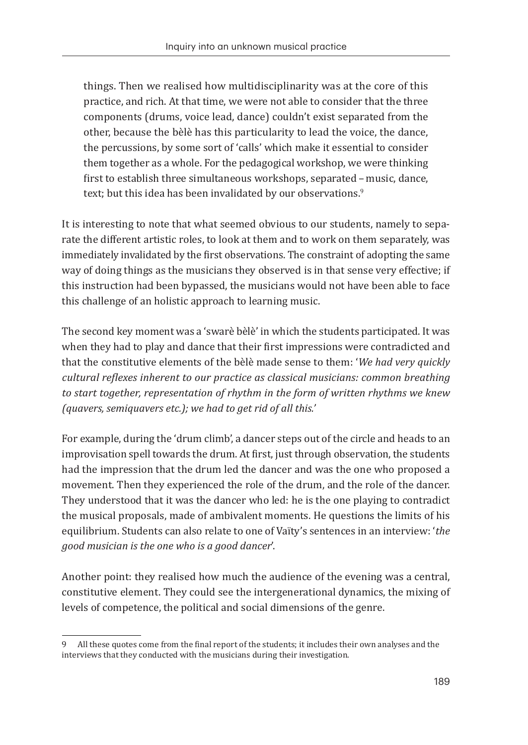things. Then we realised how multidisciplinarity was at the core of this practice, and rich. At that time, we were not able to consider that the three components (drums, voice lead, dance) couldn't exist separated from the other, because the bèlè has this particularity to lead the voice, the dance, the percussions, by some sort of 'calls' which make it essential to consider them together as a whole. For the pedagogical workshop, we were thinking first to establish three simultaneous workshops, separated – music, dance, text; but this idea has been invalidated by our observations.<sup>9</sup>

It is interesting to note that what seemed obvious to our students, namely to separate the different artistic roles, to look at them and to work on them separately, was immediately invalidated by the first observations. The constraint of adopting the same way of doing things as the musicians they observed is in that sense very effective; if this instruction had been bypassed, the musicians would not have been able to face this challenge of an holistic approach to learning music.

The second key moment was a 'swarè bèlè' in which the students participated. It was when they had to play and dance that their first impressions were contradicted and that the constitutive elements of the bèlè made sense to them: '*We had very quickly cultural reflexes inherent to our practice as classical musicians: common breathing to start together, representation of rhythm in the form of written rhythms we knew (quavers, semiquavers etc.); we had to get rid of all this.'*

For example, during the 'drum climb', a dancer steps out of the circle and heads to an improvisation spell towards the drum. At first, just through observation, the students had the impression that the drum led the dancer and was the one who proposed a movement. Then they experienced the role of the drum, and the role of the dancer. They understood that it was the dancer who led: he is the one playing to contradict the musical proposals, made of ambivalent moments. He questions the limits of his equilibrium. Students can also relate to one of Vaïty's sentences in an interview: '*the good musician is the one who is a good dancer*'.

Another point: they realised how much the audience of the evening was a central, constitutive element. They could see the intergenerational dynamics, the mixing of levels of competence, the political and social dimensions of the genre.

<sup>9</sup> All these quotes come from the final report of the students; it includes their own analyses and the interviews that they conducted with the musicians during their investigation.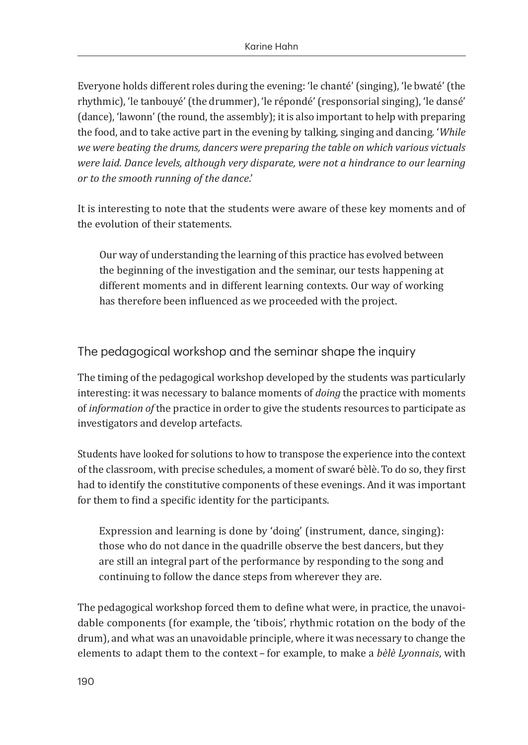Everyone holds different roles during the evening: 'le chanté' (singing), 'le bwaté' (the rhythmic), 'le tanbouyé' (the drummer), 'le répondé' (responsorial singing), 'le dansé' (dance), 'lawonn' (the round, the assembly); it is also important to help with preparing the food, and to take active part in the evening by talking, singing and dancing. '*While we were beating the drums, dancers were preparing the table on which various victuals were laid. Dance levels, although very disparate, were not a hindrance to our learning or to the smooth running of the dance*.'

It is interesting to note that the students were aware of these key moments and of the evolution of their statements.

Our way of understanding the learning of this practice has evolved between the beginning of the investigation and the seminar, our tests happening at different moments and in different learning contexts. Our way of working has therefore been influenced as we proceeded with the project.

The pedagogical workshop and the seminar shape the inquiry

The timing of the pedagogical workshop developed by the students was particularly interesting: it was necessary to balance moments of *doing* the practice with moments of *information of* the practice in order to give the students resources to participate as investigators and develop artefacts.

Students have looked for solutions to how to transpose the experience into the context of the classroom, with precise schedules, a moment of swaré bèlè. To do so, they first had to identify the constitutive components of these evenings. And it was important for them to find a specific identity for the participants.

Expression and learning is done by 'doing' (instrument, dance, singing): those who do not dance in the quadrille observe the best dancers, but they are still an integral part of the performance by responding to the song and continuing to follow the dance steps from wherever they are.

The pedagogical workshop forced them to define what were, in practice, the unavoidable components (for example, the 'tibois', rhythmic rotation on the body of the drum), and what was an unavoidable principle, where it was necessary to change the elements to adapt them to the context – for example, to make a *bèlè Lyonnais*, with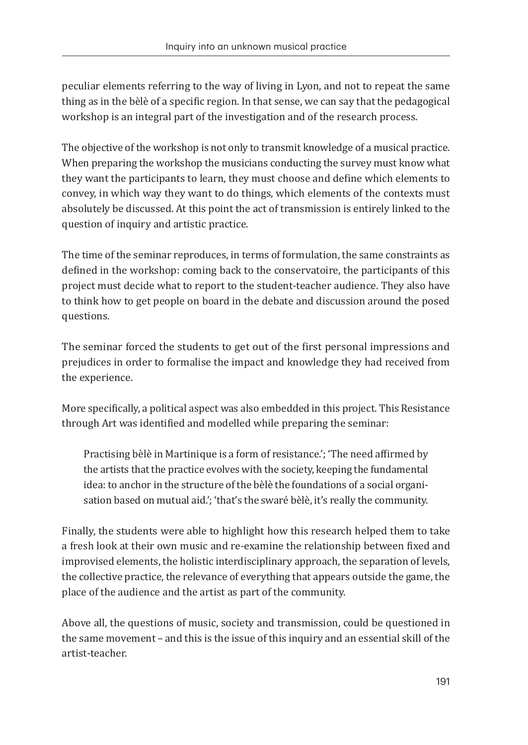peculiar elements referring to the way of living in Lyon, and not to repeat the same thing as in the bèlè of a specific region. In that sense, we can say that the pedagogical workshop is an integral part of the investigation and of the research process.

The objective of the workshop is not only to transmit knowledge of a musical practice. When preparing the workshop the musicians conducting the survey must know what they want the participants to learn, they must choose and define which elements to convey, in which way they want to do things, which elements of the contexts must absolutely be discussed. At this point the act of transmission is entirely linked to the question of inquiry and artistic practice.

The time of the seminar reproduces, in terms of formulation, the same constraints as defined in the workshop: coming back to the conservatoire, the participants of this project must decide what to report to the student-teacher audience. They also have to think how to get people on board in the debate and discussion around the posed questions.

The seminar forced the students to get out of the first personal impressions and prejudices in order to formalise the impact and knowledge they had received from the experience.

More specifically, a political aspect was also embedded in this project. This Resistance through Art was identified and modelled while preparing the seminar:

Practising bèlè in Martinique is a form of resistance.'; 'The need affirmed by the artists that the practice evolves with the society, keeping the fundamental idea: to anchor in the structure of the bèlè the foundations of a social organisation based on mutual aid.'; 'that's the swaré bèlè, it's really the community.

Finally, the students were able to highlight how this research helped them to take a fresh look at their own music and re-examine the relationship between fixed and improvised elements, the holistic interdisciplinary approach, the separation of levels, the collective practice, the relevance of everything that appears outside the game, the place of the audience and the artist as part of the community.

Above all, the questions of music, society and transmission, could be questioned in the same movement – and this is the issue of this inquiry and an essential skill of the artist-teacher.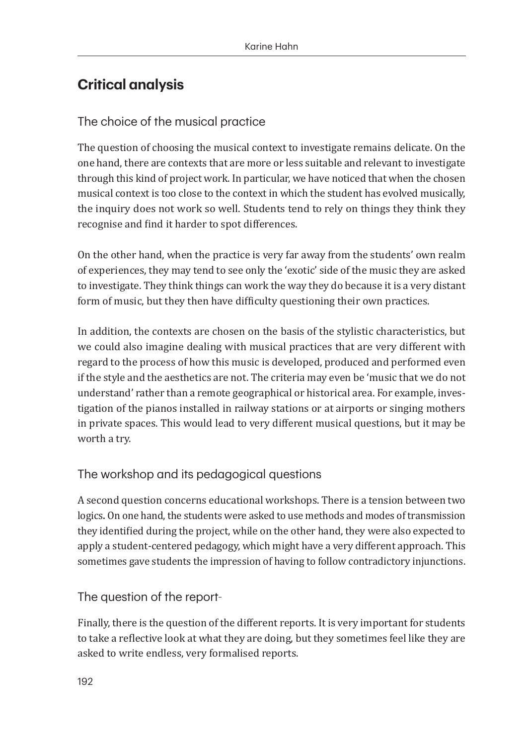# **Critical analysis**

## The choice of the musical practice

The question of choosing the musical context to investigate remains delicate. On the one hand, there are contexts that are more or less suitable and relevant to investigate through this kind of project work. In particular, we have noticed that when the chosen musical context is too close to the context in which the student has evolved musically, the inquiry does not work so well. Students tend to rely on things they think they recognise and find it harder to spot differences.

On the other hand, when the practice is very far away from the students' own realm of experiences, they may tend to see only the 'exotic' side of the music they are asked to investigate. They think things can work the way they do because it is a very distant form of music, but they then have difficulty questioning their own practices.

In addition, the contexts are chosen on the basis of the stylistic characteristics, but we could also imagine dealing with musical practices that are very different with regard to the process of how this music is developed, produced and performed even if the style and the aesthetics are not. The criteria may even be 'music that we do not understand' rather than a remote geographical or historical area. For example, investigation of the pianos installed in railway stations or at airports or singing mothers in private spaces. This would lead to very different musical questions, but it may be worth a try.

# The workshop and its pedagogical questions

A second question concerns educational workshops. There is a tension between two logics. On one hand, the students were asked to use methods and modes of transmission they identified during the project, while on the other hand, they were also expected to apply a student-centered pedagogy, which might have a very different approach. This sometimes gave students the impression of having to follow contradictory injunctions.

### The question of the report

Finally, there is the question of the different reports. It is very important for students to take a reflective look at what they are doing, but they sometimes feel like they are asked to write endless, very formalised reports.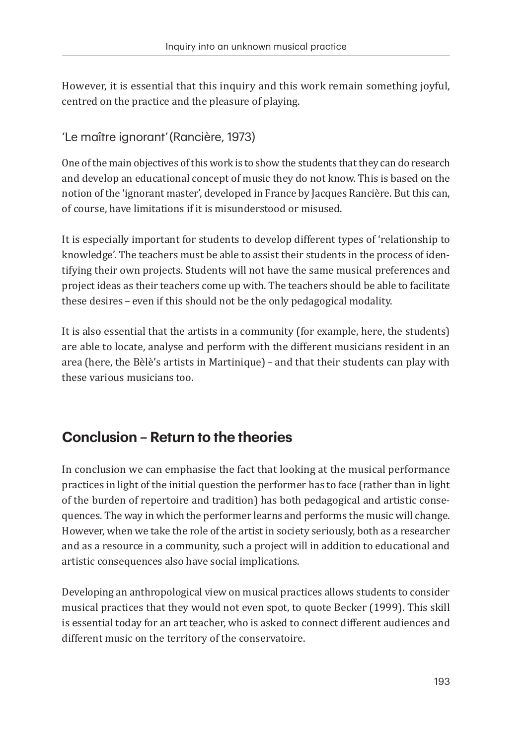However, it is essential that this inquiry and this work remain something joyful, centred on the practice and the pleasure of playing.

'Le maître ignorant'(Rancière, 1973)

One of the main objectives of this work is to show the students that they can do research and develop an educational concept of music they do not know. This is based on the notion of the 'ignorant master', developed in France by Jacques Rancière. But this can, of course, have limitations if it is misunderstood or misused.

It is especially important for students to develop different types of 'relationship to knowledge'. The teachers must be able to assist their students in the process of identifying their own projects. Students will not have the same musical preferences and project ideas as their teachers come up with. The teachers should be able to facilitate these desires – even if this should not be the only pedagogical modality.

It is also essential that the artists in a community (for example, here, the students) are able to locate, analyse and perform with the different musicians resident in an area (here, the Bèlè's artists in Martinique) – and that their students can play with these various musicians too.

# **Conclusion – Return to the theories**

In conclusion we can emphasise the fact that looking at the musical performance practices in light of the initial question the performer has to face (rather than in light of the burden of repertoire and tradition) has both pedagogical and artistic consequences. The way in which the performer learns and performs the music will change. However, when we take the role of the artist in society seriously, both as a researcher and as a resource in a community, such a project will in addition to educational and artistic consequences also have social implications.

Developing an anthropological view on musical practices allows students to consider musical practices that they would not even spot, to quote Becker (1999). This skill is essential today for an art teacher, who is asked to connect different audiences and different music on the territory of the conservatoire.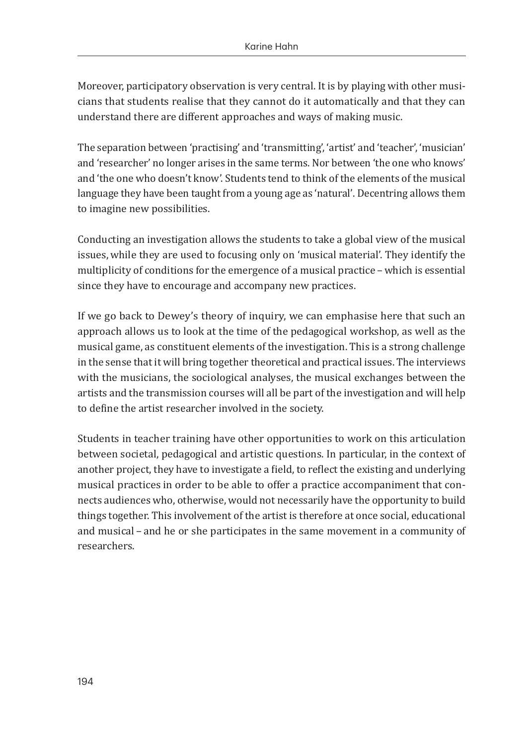Moreover, participatory observation is very central. It is by playing with other musicians that students realise that they cannot do it automatically and that they can understand there are different approaches and ways of making music.

The separation between 'practising' and 'transmitting', 'artist' and 'teacher', 'musician' and 'researcher' no longer arises in the same terms. Nor between 'the one who knows' and 'the one who doesn't know'. Students tend to think of the elements of the musical language they have been taught from a young age as 'natural'. Decentring allows them to imagine new possibilities.

Conducting an investigation allows the students to take a global view of the musical issues, while they are used to focusing only on 'musical material'. They identify the multiplicity of conditions for the emergence of a musical practice – which is essential since they have to encourage and accompany new practices.

If we go back to Dewey's theory of inquiry, we can emphasise here that such an approach allows us to look at the time of the pedagogical workshop, as well as the musical game, as constituent elements of the investigation. This is a strong challenge in the sense that it will bring together theoretical and practical issues. The interviews with the musicians, the sociological analyses, the musical exchanges between the artists and the transmission courses will all be part of the investigation and will help to define the artist researcher involved in the society.

Students in teacher training have other opportunities to work on this articulation between societal, pedagogical and artistic questions. In particular, in the context of another project, they have to investigate a field, to reflect the existing and underlying musical practices in order to be able to offer a practice accompaniment that connects audiences who, otherwise, would not necessarily have the opportunity to build things together. This involvement of the artist is therefore at once social, educational and musical – and he or she participates in the same movement in a community of researchers.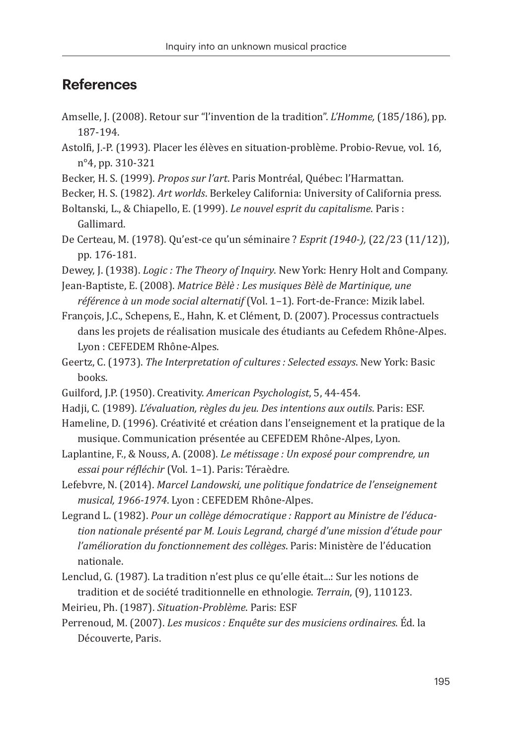# **References**

- Amselle, J. (2008). Retour sur "l'invention de la tradition". *L'Homme,* (185/186), pp. 187-194.
- Astolfi, J.-P. (1993). Placer les élèves en situation-problème. Probio-Revue, vol. 16, n°4, pp. 310-321
- Becker, H. S. (1999). *Propos sur l'art*. Paris Montréal, Québec: l'Harmattan.
- Becker, H. S. (1982). *Art worlds*. Berkeley California: University of California press.
- Boltanski, L., & Chiapello, E. (1999). *Le nouvel esprit du capitalisme*. Paris : Gallimard.
- De Certeau, M. (1978). Qu'est-ce qu'un séminaire ? *Esprit (1940-),* (22/23 (11/12)), pp. 176-181.

Dewey, J. (1938). *Logic : The Theory of Inquiry*. New York: Henry Holt and Company.

- Jean-Baptiste, E. (2008). *Matrice Bèlè : Les musiques Bèlè de Martinique, une référence à un mode social alternatif* (Vol. 1–1). Fort-de-France: Mizik label.
- François, J.C., Schepens, E., Hahn, K. et Clément, D. (2007). Processus contractuels dans les projets de réalisation musicale des étudiants au Cefedem Rhône-Alpes. Lyon : CEFEDEM Rhône-Alpes.
- Geertz, C. (1973). *The Interpretation of cultures : Selected essays*. New York: Basic books.
- Guilford, J.P. (1950). Creativity. *American Psychologist*, 5, 44-454.
- Hadji, C. (1989). *L'évaluation, règles du jeu. Des intentions aux outils*. Paris: ESF.
- Hameline, D. (1996). Créativité et création dans l'enseignement et la pratique de la musique. Communication présentée au CEFEDEM Rhône-Alpes, Lyon.
- Laplantine, F., & Nouss, A. (2008). *Le métissage : Un exposé pour comprendre, un essai pour réfléchir* (Vol. 1–1). Paris: Téraèdre.
- Lefebvre, N. (2014). *Marcel Landowski, une politique fondatrice de l'enseignement musical, 1966-1974*. Lyon : CEFEDEM Rhône-Alpes.
- Legrand L. (1982). *Pour un collège démocratique : Rapport au Ministre de l'éducation nationale présenté par M. Louis Legrand, chargé d'une mission d'étude pour l'amélioration du fonctionnement des collèges*. Paris: Ministère de l'éducation nationale.
- Lenclud, G. (1987). La tradition n'est plus ce qu'elle était...: Sur les notions de tradition et de société traditionnelle en ethnologie. *Terrain*, (9), 110123.
- Meirieu, Ph. (1987). *Situation-Problème*. Paris: ESF
- Perrenoud, M. (2007). *Les musicos : Enquête sur des musiciens ordinaires*. Éd. la Découverte, Paris.